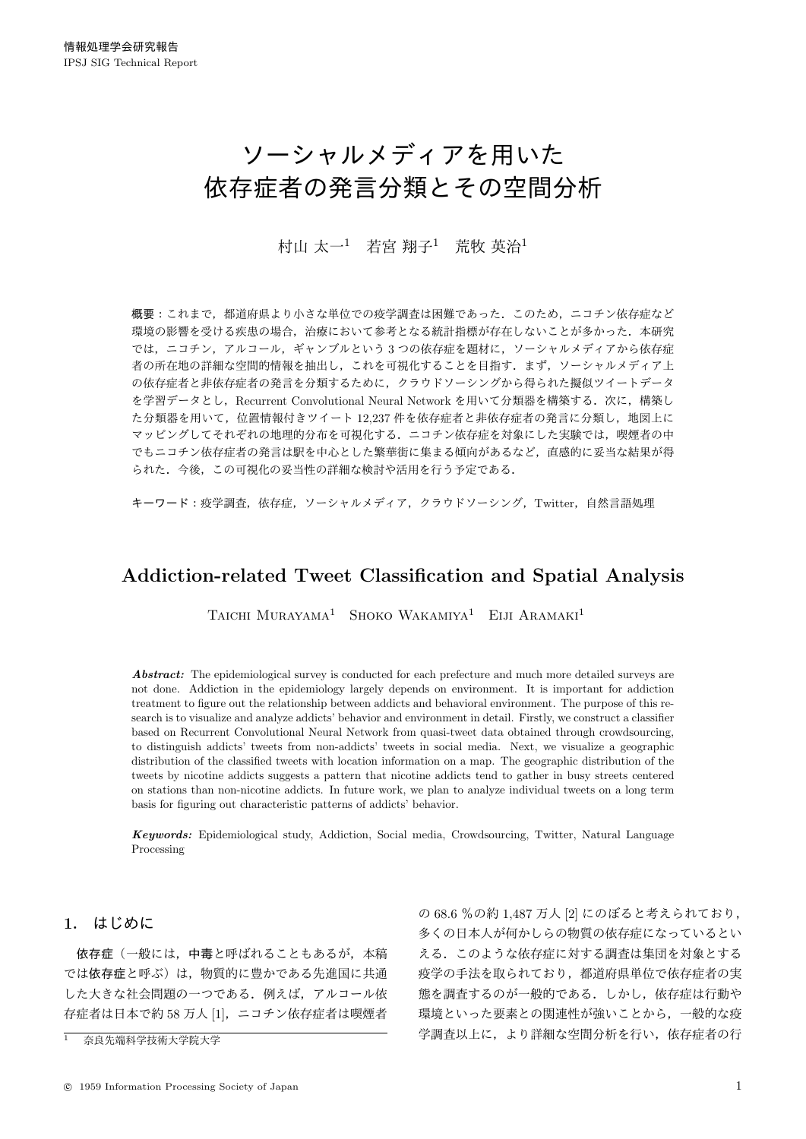# ソーシャルメディアを用いた 依存症者の発言分類とその空間分析

# 村山 太一<sup>1</sup> 若宮 翔子<sup>1</sup> 荒牧 英治<sup>1</sup>

概要:これまで、都道府県より小さな単位での疫学調査は困難であった。このため、ニコチン依存症など 環境の影響を受ける疾患の場合、治療において参考となる統計指標が存在しないことが多かった. 本研究 では、ニコチン、アルコール、ギャンブルという3つの依存症を題材に、ソーシャルメディアから依存症 者の所在地の詳細な空間的情報を抽出し、これを可視化することを目指す、まず、ソーシャルメディア上 の依存症者と非依存症者の発言を分類するために、クラウドソーシングから得られた擬似ツイートデータ を学習データとし、Recurrent Convolutional Neural Network を用いて分類器を構築する. 次に、構築し た分類器を用いて、位置情報付きツイート 12.237 件を依存症者と非依存症者の発言に分類し、地図上に マッピングしてそれぞれの地理的分布を可視化する。ニコチン依存症を対象にした実験では、喫煙者の中 でもニコチン依存症者の発言は駅を中心とした繁華街に集まる傾向があるなど、直感的に妥当な結果が得 られた. 今後、この可視化の妥当性の詳細な検討や活用を行う予定である.

キーワード:疫学調査, 依存症, ソーシャルメディア, クラウドソーシング, Twitter, 自然言語処理

# Addiction-related Tweet Classification and Spatial Analysis

TAICHI MURAYAMA<sup>1</sup> SHOKO WAKAMIYA<sup>1</sup> EIJI ARAMAKI<sup>1</sup>

Abstract: The epidemiological survey is conducted for each prefecture and much more detailed surveys are not done. Addiction in the epidemiology largely depends on environment. It is important for addiction treatment to figure out the relationship between addicts and behavioral environment. The purpose of this research is to visualize and analyze addicts' behavior and environment in detail. Firstly, we construct a classifier based on Recurrent Convolutional Neural Network from quasi-tweet data obtained through crowdsourcing, to distinguish addicts' tweets from non-addicts' tweets in social media. Next, we visualize a geographic distribution of the classified tweets with location information on a map. The geographic distribution of the tweets by nicotine addicts suggests a pattern that nicotine addicts tend to gather in busy streets centered on stations than non-nicotine addicts. In future work, we plan to analyze individual tweets on a long term basis for figuring out characteristic patterns of addicts' behavior.

*Keywords:* Epidemiological study, Addiction, Social media, Crowdsourcing, Twitter, Natural Language Processing

# 1. はじめに

依存症(一般には、中毒と呼ばれることもあるが、本稿 では依存症と呼ぶ)は、物質的に豊かである先進国に共通 した大きな社会問題の一つである。例えば、アルコール依 存症者は日本で約58万人[1], ニコチン依存症者は喫煙者

の 68.6 %の約 1.487 万人 [2] にのぼると考えられており, 多くの日本人が何かしらの物質の依存症になっているとい える。このような依存症に対する調査は集団を対象とする 疫学の手法を取られており、都道府県単位で依存症者の実 態を調査するのが一般的である。しかし、依存症は行動や 環境といった要素との関連性が強いことから、一般的な疫 学調査以上に、より詳細な空間分析を行い、依存症者の行

奈良先端科学技術大学院大学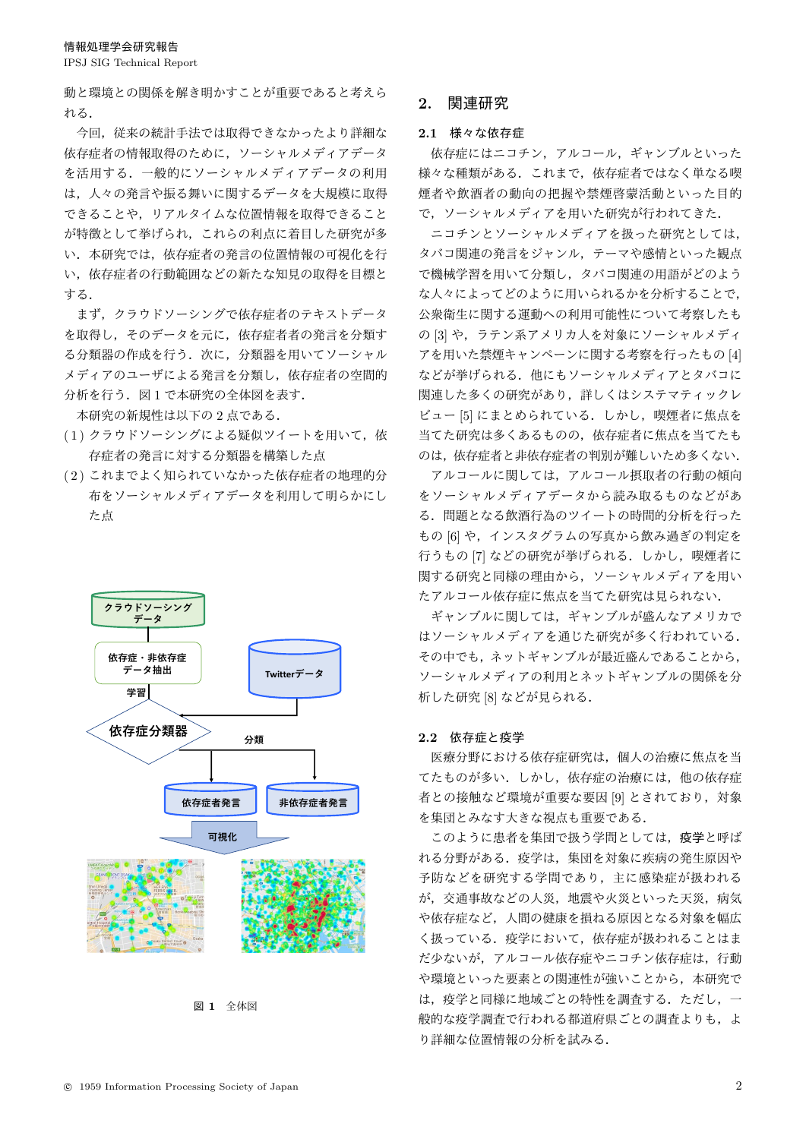IPSJ SIG Technical Report

動と環境との関係を解き明かすことが重要であると考えら  $H.Z$ 

今回、従来の統計手法では取得できなかったより詳細な 依存症者の情報取得のために、ソーシャルメディアデータ を活用する。一般的にソーシャルメディアデータの利用 は、人々の発言や振る舞いに関するデータを大規模に取得 できることや、リアルタイムな位置情報を取得できること が特徴として挙げられ、これらの利点に着目した研究が多 い、本研究では、依存症者の発言の位置情報の可視化を行 い、依存症者の行動範囲などの新たな知見の取得を目標と ͢Δɽ

まず、クラウドソーシングで依存症者のテキストデータ を取得し、そのデータを元に、依存症者者の発言を分類す る分類器の作成を行う. 次に、分類器を用いてソーシャル メディアのユーザによる発言を分類し、依存症者の空間的 分析を行う. 図1で本研究の全体図を表す.

本研究の新規性は以下の2点である.

- $(1)$ クラウドソーシングによる疑似ツイートを用いて、依 存症者の発言に対する分類器を構築した点
- (2) これまでよく知られていなかった依存症者の地理的分 布をソーシャルメディアデータを利用して明らかにし た点



図 1 全体図

# 2. 関連研究

## 2.1 様々な依存症

依存症にはニコチン、アルコール、ギャンブルといった 様々な種類がある。これまで、依存症者ではなく単なる喫 煙者や飲酒者の動向の把握や禁煙啓蒙活動といった目的 で、ソーシャルメディアを用いた研究が行われてきた.

ニコチンとソーシャルメディアを扱った研究としては、 タバコ関連の発言をジャンル、テーマや感情といった観点 で機械学習を用いて分類し、タバコ関連の用語がどのよう な人々によってどのように用いられるかを分析することで、 公衆衛生に関する運動への利用可能性について考察したも の [3] や、ラテン系アメリカ人を対象にソーシャルメディ アを用いた禁煙キャンペーンに関する考察を行ったもの [4] などが挙げられる。他にもソーシャルメディアとタバコに 関連した多くの研究があり、詳しくはシステマティックレ ビュー [5] にまとめられている。しかし、喫煙者に焦点を 当てた研究は多くあるものの、依存症者に焦点を当てたも のは、依存症者と非依存症者の判別が難しいため多くない.

アルコールに関しては、アルコール摂取者の行動の傾向 をソーシャルメディアデータから読み取るものなどがあ る。問題となる飲酒行為のツイートの時間的分析を行った もの [6] や, インスタグラムの写真から飲み過ぎの判定を 行うもの [7] などの研究が挙げられる。 しかし、喫煙者に 関する研究と同様の理由から、ソーシャルメディアを用い たアルコール依存症に焦点を当てた研究は見られない.

ギャンブルが盛んなアメリカで はソーシャルメディアを通じた研究が多く行われている. その中でも、ネットギャンブルが最近盛んであることから、 ソーシャルメディアの利用とネットギャンブルの関係を分 析した研究 [8] などが見られる.

#### $2.2$  依存症と疫学

医療分野における依存症研究は、個人の治療に焦点を当 てたものが多い。しかし、依存症の治療には、他の依存症 者との接触など環境が重要な要因 [9] とされており、対象 を集団とみなす大きな視点も重要である.

このように患者を集団で扱う学問としては、疫学と呼ば れる分野がある。疫学は、集団を対象に疾病の発生原因や 予防などを研究する学問であり、主に感染症が扱われる が、交通事故などの人災、地震や火災といった天災、病気 や依存症など、人間の健康を損ねる原因となる対象を幅広 く扱っている。疫学において、依存症が扱われることはま だ少ないが、アルコール依存症やニコチン依存症は、行動 や環境といった要素との関連性が強いことから、本研究で は、疫学と同様に地域ごとの特性を調査する。ただし、一 般的な疫学調査で行われる都道府県ごとの調査よりも、よ り詳細な位置情報の分析を試みる.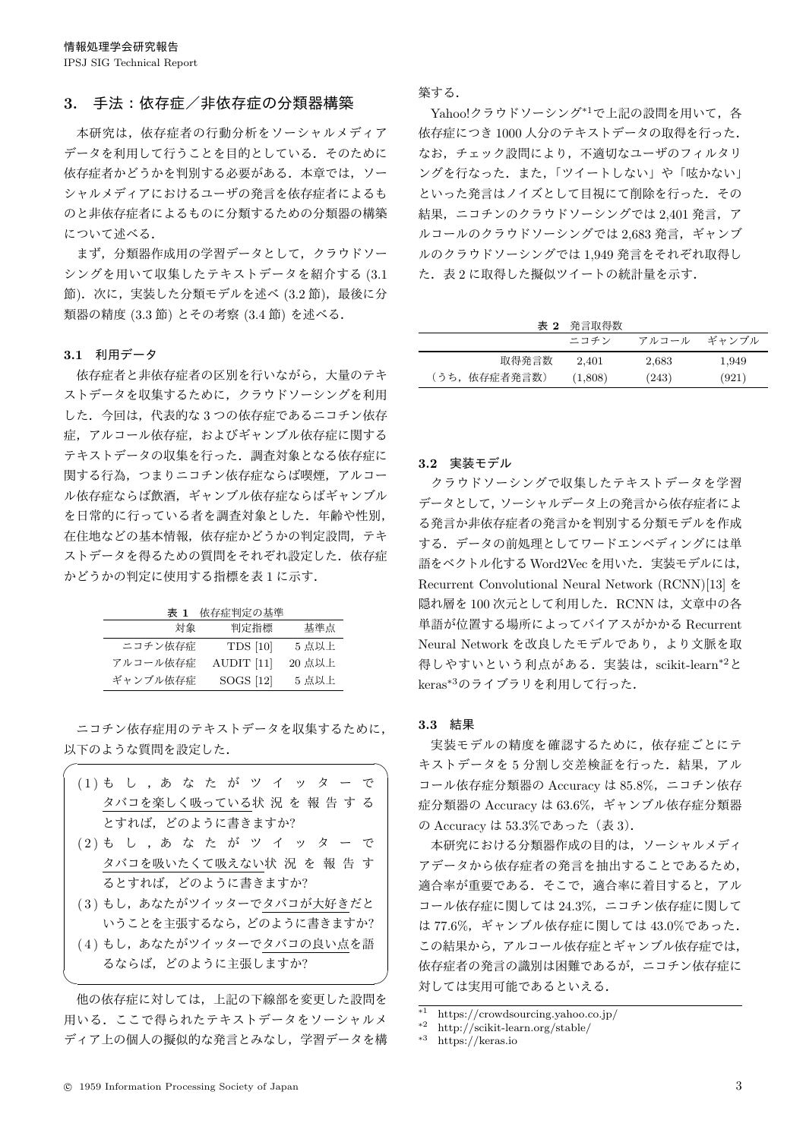## 3. 手法:依存症/非依存症の分類器構築

本研究は、依存症者の行動分析をソーシャルメディア データを利用して行うことを目的としている。そのために 依存症者かどうかを判別する必要がある。本章では、ソー シャルメディアにおけるユーザの発言を依存症者によるも のと非依存症者によるものに分類するための分類器の構築 について述べる.

まず、分類器作成用の学習データとして、クラウドソー シングを用いて収集したテキストデータを紹介する (3.1 節). 次に、実装した分類モデルを述べ (3.2 節), 最後に分 類器の精度 (3.3 節) とその考察 (3.4 節) を述べる.

#### 3.1 利用データ

依存症者と非依存症者の区別を行いながら、大量のテキ ストデータを収集するために、クラウドソーシングを利用 した. 今回は、代表的な3つの依存症であるニコチン依存 症、アルコール依存症、およびギャンブル依存症に関する テキストデータの収集を行った。調査対象となる依存症に 関する行為、つまりニコチン依存症ならば喫煙、アルコー ル依存症ならば戦酒、ギャンブル依存症ならばギャンブル を日常的に行っている者を調査対象とした。年齢や性別, 在住地などの基本情報、依存症かどうかの判定設問、テキ ストデータを得るための質問をそれぞれ設定した。依存症  $\mathcal{D}$ どうかの判定に使用する指標を表1に示す.

| 依存症判定の基準<br>表 1 |
|-----------------|
|-----------------|

| 対象       | 判定指標            | 基準点    |
|----------|-----------------|--------|
| ニコチン依存症  | <b>TDS</b> [10] | 5 点以上  |
| アルコール依存症 | AUDIT [11]      | 20 点以上 |
| ギャンブル依存症 | SOGS [12]       | 5 点以上  |

ニコチン依存症用のテキストデータを収集するために、 以下のような質問を設定した.

| (1)もし,あなたがツイッターで |  |  |                           |  |  |  |  |  |
|------------------|--|--|---------------------------|--|--|--|--|--|
|                  |  |  | タバコを楽しく吸っている状 況 を 報 告 す る |  |  |  |  |  |
|                  |  |  | とすれば,どのように書きますか?          |  |  |  |  |  |

 $\sqrt{2\pi i}$ 

- (2) も し , あ な た が ツ イ ッ タ ー で タバコを吸いたくて吸えない状況を報告す るとすれば、どのように書きますか?
- $(3)$ もし、あなたがツイッターでタバコが大好きだと いうことを主張するなら、どのように書きますか?
- (4) もし、あなたがツイッターでタバコの良い点を語 るならば、どのように主張しますか?

 $\qquad \qquad \qquad$ 

他の依存症に対しては、上記の下線部を変更した設問を 用いる。ここで得られたテキストデータをソーシャルメ ディア上の個人の擬似的な発言とみなし、学習データを構 築する.

Yahoo!クラウドソーシング<sup>\*1</sup>で上記の設問を用いて、各 依存症につき1000人分のテキストデータの取得を行った. なお、チェック設問により、不適切なユーザのフィルタリ ングを行なった. また、「ツイートしない」や「呟かない」 といった発言はノイズとして目視にて削除を行った。その 結果, ニコチンのクラウドソーシングでは 2,401 発言, ア ルコールのクラウドソーシングでは 2.683 発言、ギャンブ ルのクラウドソーシングでは 1.949 発言をそれぞれ取得し た. 表2に取得した擬似ツイートの統計量を示す.

表 2 発言取得数

|               | ニコチン    | アルコール | ギャンブル |
|---------------|---------|-------|-------|
| 取得発言数         | 2.401   | 2,683 | 1,949 |
| (うち, 依存症者発言数) | (1,808) | (243) | (921) |

#### 3.2 実装モデル

クラウドソーシングで収集したテキストデータを学習 データとして、ソーシャルデータ上の発言から依存症者によ る発言か非依存症者の発言かを判別する分類モデルを作成 する。データの前処理としてワードエンベディングには単 語をベクトル化する Word2Vec を用いた. 実装モデルには, Recurrent Convolutional Neural Network (RCNN)[13] δ 隠れ層を100次元として利用した. RCNN は、文章中の各 単語が位置する場所によってバイアスがかかる Recurrent Neural Network を改良したモデルであり、より文脈を取 得しやすいという利点がある. 実装は、scikit-learn<sup>\*2</sup>と keras<sup>\*3</sup>のライブラリを利用して行った.

#### 3.3 結果

実装モデルの精度を確認するために、依存症ごとにテ キストデータを5分割し交差検証を行った. 結果, アル コール依存症分類器の Accuracy は 85.8%, ニコチン依存 症分類器の Accuracy は 63.6%, ギャンブル依存症分類器 の Accuracy は 53.3%であった (表 3).

本研究における分類器作成の目的は、ソーシャルメディ アデータから依存症者の発言を抽出することであるため, 適合率が重要である。そこで、適合率に着目すると、アル コール依存症に関しては 24.3%, ニコチン依存症に関して は 77.6%. ギャンブル依存症に関しては 43.0%であった. この結果から、アルコール依存症とギャンブル依存症では, 依存症者の発言の識別は困難であるが、ニコチン依存症に 対しては実用可能であるといえる.

<sup>\*1</sup> https://crowdsourcing.yahoo.co.jp/

<sup>\*2</sup> http://scikit-learn.org/stable/

https://keras.io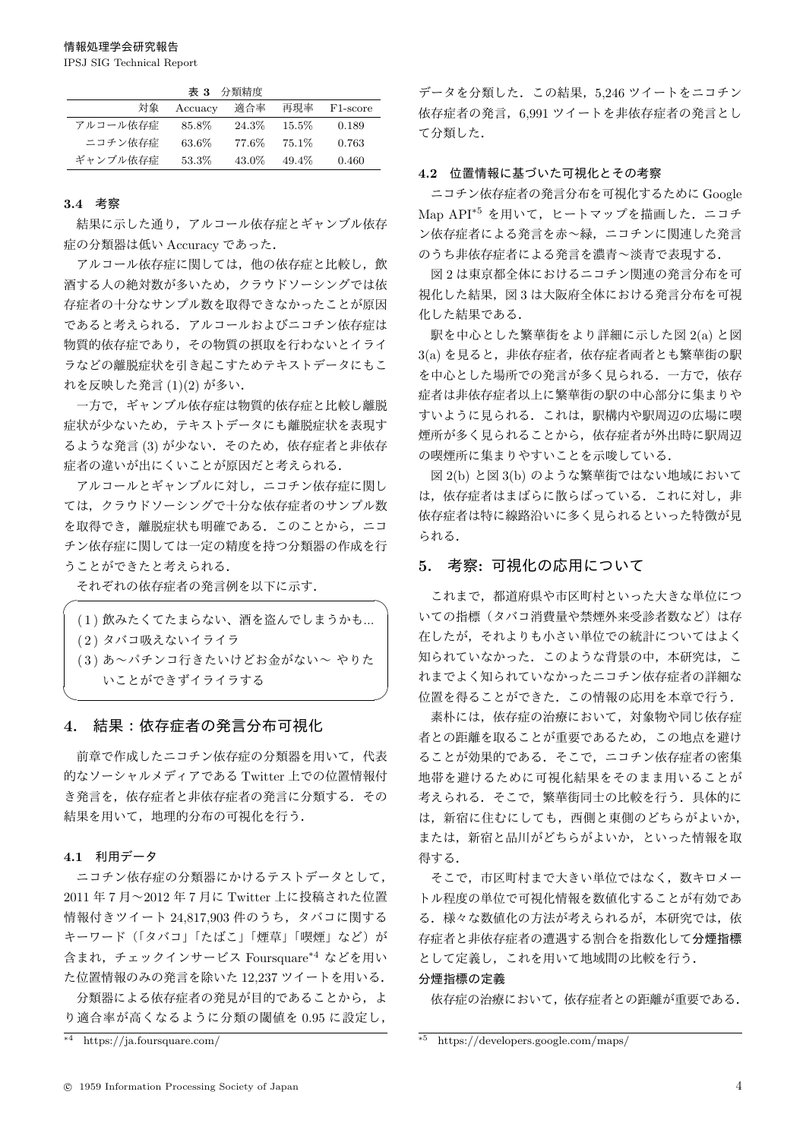IPSJ SIG Technical Report

|          |         | 表 3 分類精度 |          |                       |
|----------|---------|----------|----------|-----------------------|
| 対象       | Accuacy | 適合率      | 再現率      | F <sub>1</sub> -score |
| アルコール依存症 | 85.8%   | 24.3%    | $15.5\%$ | 0.189                 |
| ニコチン依存症  | 63.6%   | 77.6%    | $75.1\%$ | 0.763                 |
| ギャンブル依存症 | 53.3%   | 43.0%    | 49.4%    | 0.460                 |

## 3.4 考察

結果に示した通り、アルコール依存症とギャンブル依存 症の分類器は低い Accuracy であった.

アルコール依存症に関しては、他の依存症と比較し、飲 酒する人の絶対数が多いため、クラウドソーシングでは依 存症者の十分なサンプル数を取得できなかったことが原因 であると考えられる。アルコールおよびニコチン依存症は 物質的依存症であり、その物質の摂取を行わないとイライ ラなどの離脱症状を引き起こすためテキストデータにもこ れを反映した発言 (1)(2) が多い.

一方で、ギャンブル依存症は物質的依存症と比較し離脱 症状が少ないため、テキストデータにも離脱症状を表現す るような発言(3)が少ない. そのため、依存症者と非依存 症者の違いが出にくいことが原因だと考えられる.

アルコールとギャンブルに対し、ニコチン依存症に関し ては、クラウドソーシングで十分な依存症者のサンプル数 を取得でき、離脱症状も明確である。このことから、ニコ チン依存症に関しては一定の精度を持つ分類器の作成を行 うことができたと考えられる.

それぞれの依存症者の発言例を以下に示す.

| (1) 飲みたくてたまらない、酒を盗んでしまうかも  |  |
|----------------------------|--|
| (2) タバコ吸えないイライラ            |  |
| (3) あ~パチンコ行きたいけどお金がない~ やりた |  |
| いことができずイライラする              |  |
|                            |  |

## 4. 結果:依存症者の発言分布可視化

前章で作成したニコチン依存症の分類器を用いて、代表 的なソーシャルメディアである Twitter 上での位置情報付 き発言を、依存症者と非依存症者の発言に分類する。その 結果を用いて、 地理的分布の可視化を行う.

#### 4.1 利用データ

 $\sqrt{2}$ 

ニコチン依存症の分類器にかけるテストデータとして. 2011 年7月~2012 年7月に Twitter 上に投稿された位置 情報付きツイート 24,817,903 件のうち、タバコに関する キーワード (「タバコ」「たばこ」「煙草」「喫煙」など)が 含まれ、チェックインサービス Foursquare\*4 などを用い た位置情報のみの発言を除いた 12,237 ツイートを用いる. 分類器による依存症者の発見が目的であることから、よ  $0.95$ に率が高くなるように分類の閾値を $0.95$ に設定し、

データを分類した. この結果, 5,246 ツイートをニコチン 依存症者の発言, 6.991 ツイートを非依存症者の発言とし て分類した.

#### 4.2 位置情報に基づいた可視化とその考察

ニコチン依存症者の発言分布を可視化するために Google Map API\*5 を用いて、ヒートマップを描画した. ニコチ ン依存症者による発言を赤へ緑、ニコチンに関連した発言 のうち非依存症者による発言を濃青~淡青で表現する.

図2は東京都全体におけるニコチン関連の発言分布を可 視化した結果, 図3は大阪府全体における発言分布を可視 化した結果である.

駅を中心とした繁華街をより詳細に示した図 2(a) と図 3(a) を見ると, 非依存症者, 依存症者両者とも繁華街の駅 を中心とした場所での発言が多く見られる。一方で、依存 症者は非依存症者以上に繁華街の駅の中心部分に集まりや すいように見られる。これは、駅構内や駅周辺の広場に喫 煙所が多く見られることから、依存症者が外出時に駅周辺 の喫煙所に集まりやすいことを示唆している.

図 2(b) と図 3(b) のような繁華街ではない地域において は、依存症者はまばらに散らばっている。これに対し、非 依存症者は特に線路沿いに多く見られるといった特徴が見 られる.

## 5. 考察:可視化の応用について

これまで、都道府県や市区町村といった大きな単位につ いての指標(タバコ消費量や禁煙外来受診者数など)は存 在したが、それよりも小さい単位での統計についてはよく 知られていなかった。このような背景の中、本研究は、こ れまでよく知られていなかったニコチン依存症者の詳細な 位置を得ることができた。この情報の応用を本章で行う。

素朴には、依存症の治療において、対象物や同じ依存症 者との距離を取ることが重要であるため、この地点を避け ることが効果的である。そこで、ニコチン依存症者の密集 地帯を避けるために可視化結果をそのまま用いることが 考えられる。そこで、繁華街同士の比較を行う。具体的に は、新宿に住むにしても、西側と東側のどちらがよいか, または、新宿と品川がどちらがよいか、といった情報を取 得する.

そこで、市区町村まで大きい単位ではなく、数キロメー トル程度の単位で可視化情報を数値化することが有効であ る。様々な数値化の方法が考えられるが、本研究では、依 存症者と非依存症者の遭遇する割合を指数化して分煙指標 として定義し、これを用いて地域間の比較を行う.

#### 分煙指標の定義

依存症の治療において、依存症者との距離が重要である.

<sup>\*4</sup> https://ja.foursquare.com/

<sup>\*5</sup> https://developers.google.com/maps/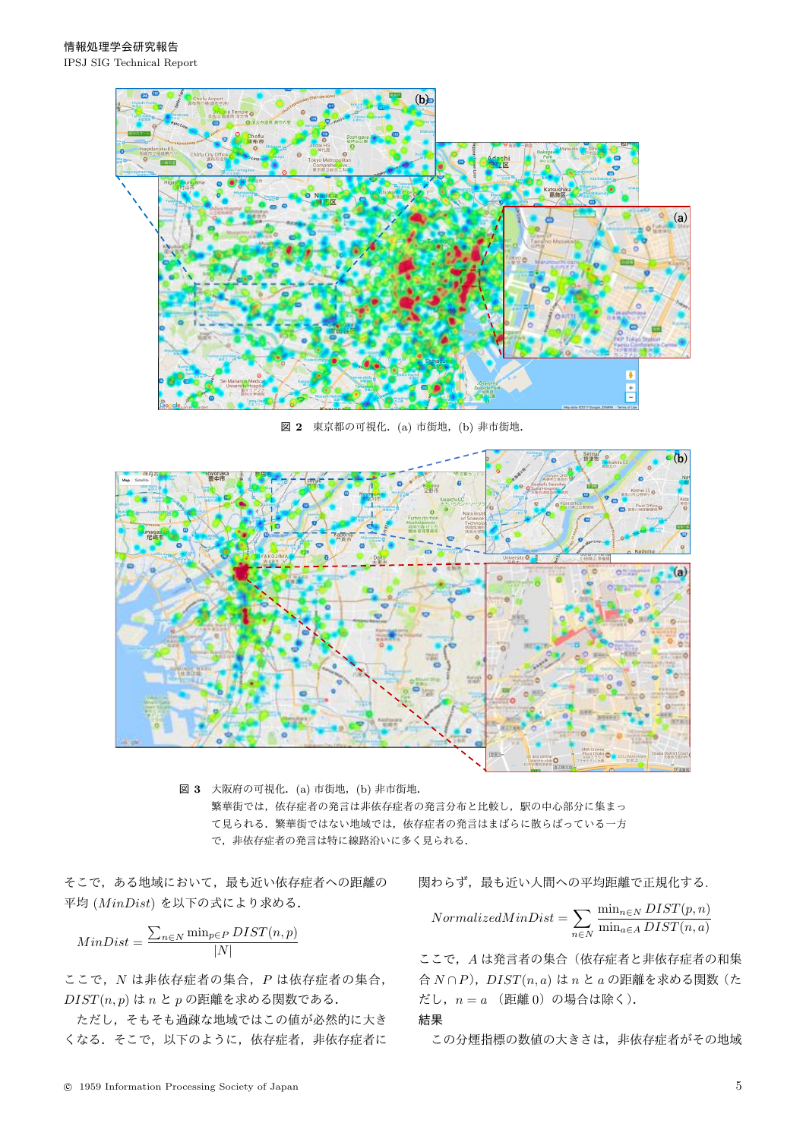

図 2 東京都の可視化. (a) 市街地, (b) 非市街地.



図 3 大阪府の可視化. (a) 市街地, (b) 非市街地. 繁華街では、依存症者の発言は非依存症者の発言分布と比較し、駅の中心部分に集まっ て見られる。繁華街ではない地域では、依存症者の発言はまばらに散らばっている一方 で、非依存症者の発言は特に線路沿いに多く見られる.

そこで、ある地域において、最も近い依存症者への距離の 平均 (MinDist) を以下の式により求める.

$$
MinDist = \frac{\sum_{n \in N} \min_{p \in P} DIST(n, p)}{|N|}
$$

ここで, N は非依存症者の集合, P は依存症者の集合,  $DIST(n, p)$ は $n \geq p$ の距離を求める関数である.

ただし、そもそも過疎な地域ではこの値が必然的に大き くなる. そこで、以下のように、依存症者,非依存症者に 関わらず、最も近い人間への平均距離で正規化する.

$$
NormalizedMinDist = \sum_{n \in N} \frac{\min_{n \in N} DIST(p, n)}{\min_{a \in A} DIST(n, a)}
$$

ここで, Aは発言者の集合(依存症者と非依存症者の和集 **合** *N* ∩ *P*), *DIST*(*n*, *a*) は *n* と *a* の距離を求める関数 (た だし,  $n = a$  (距離 0) の場合は除く).

݁Ռ

この分煙指標の数値の大きさは、非依存症者がその地域